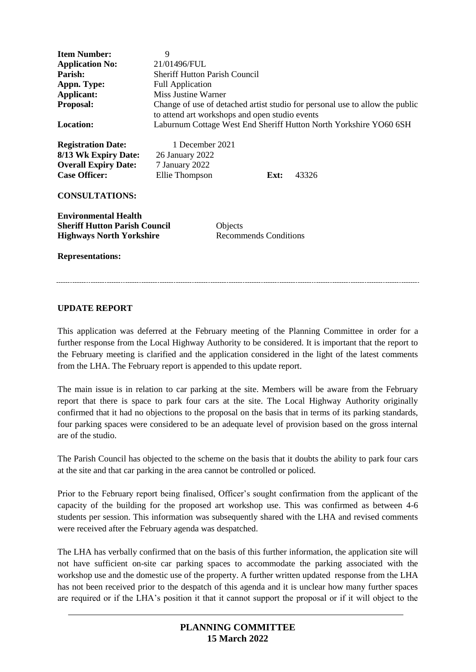| <b>Item Number:</b><br><b>Application No:</b><br>Parish:<br>Appn. Type:<br>Applicant:<br><b>Proposal:</b><br><b>Location:</b>                              | 9<br>21/01496/FUL<br><b>Sheriff Hutton Parish Council</b><br><b>Full Application</b><br><b>Miss Justine Warner</b><br>to attend art workshops and open studio events |                                         |      | Change of use of detached artist studio for personal use to allow the public<br>Laburnum Cottage West End Sheriff Hutton North Yorkshire YO60 6SH |
|------------------------------------------------------------------------------------------------------------------------------------------------------------|----------------------------------------------------------------------------------------------------------------------------------------------------------------------|-----------------------------------------|------|---------------------------------------------------------------------------------------------------------------------------------------------------|
| <b>Registration Date:</b><br>8/13 Wk Expiry Date:<br><b>Overall Expiry Date:</b><br><b>Case Officer:</b>                                                   | 1 December 2021<br>26 January 2022<br>7 January 2022<br>Ellie Thompson                                                                                               |                                         | Ext: | 43326                                                                                                                                             |
| <b>CONSULTATIONS:</b><br><b>Environmental Health</b><br><b>Sheriff Hutton Parish Council</b><br><b>Highways North Yorkshire</b><br><b>Representations:</b> |                                                                                                                                                                      | Objects<br><b>Recommends Conditions</b> |      |                                                                                                                                                   |

## **UPDATE REPORT**

This application was deferred at the February meeting of the Planning Committee in order for a further response from the Local Highway Authority to be considered. It is important that the report to the February meeting is clarified and the application considered in the light of the latest comments from the LHA. The February report is appended to this update report.

The main issue is in relation to car parking at the site. Members will be aware from the February report that there is space to park four cars at the site. The Local Highway Authority originally confirmed that it had no objections to the proposal on the basis that in terms of its parking standards, four parking spaces were considered to be an adequate level of provision based on the gross internal are of the studio.

The Parish Council has objected to the scheme on the basis that it doubts the ability to park four cars at the site and that car parking in the area cannot be controlled or policed.

Prior to the February report being finalised, Officer's sought confirmation from the applicant of the capacity of the building for the proposed art workshop use. This was confirmed as between 4-6 students per session. This information was subsequently shared with the LHA and revised comments were received after the February agenda was despatched.

The LHA has verbally confirmed that on the basis of this further information, the application site will not have sufficient on-site car parking spaces to accommodate the parking associated with the workshop use and the domestic use of the property. A further written updated response from the LHA has not been received prior to the despatch of this agenda and it is unclear how many further spaces are required or if the LHA's position it that it cannot support the proposal or if it will object to the